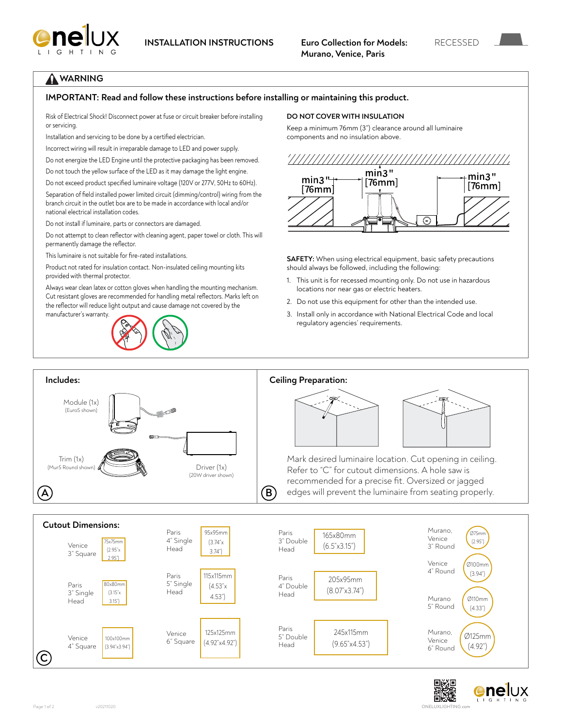

## **WARNING**

#### **IMPORTANT: Read and follow these instructions before installing or maintaining this product.**

Risk of Electrical Shock! Disconnect power at fuse or circuit breaker before installing or servicing.

Installation and servicing to be done by a certified electrician.

Incorrect wiring will result in irreparable damage to LED and power supply.

Do not energize the LED Engine until the protective packaging has been removed.

Do not touch the yellow surface of the LED as it may damage the light engine.

Do not exceed product specified luminaire voltage (120V or 277V, 50Hz to 60Hz).

Separation of field installed power limited circuit (dimming/control) wiring from the branch circuit in the outlet box are to be made in accordance with local and/or national electrical installation codes.

Do not install if luminaire, parts or connectors are damaged.

Do not attempt to clean reflector with cleaning agent, paper towel or cloth. This will permanently damage the reflector.

This luminaire is not suitable for fire-rated installations.

Product not rated for insulation contact. Non-insulated ceiling mounting kits provided with thermal protector.

Always wear clean latex or cotton gloves when handling the mounting mechanism. Cut resistant gloves are recommended for handling metal reflectors. Marks left on the reflector will reduce light output and cause damage not covered by the manufacturer's warranty.



#### **DO NOT COVER WITH INSULATION**

Keep a minimum 76mm (3") clearance around all luminaire components and no insulation above.



⊙

**SAFETY:** When using electrical equipment, basic safety precautions should always be followed, including the following:

- 1. This unit is for recessed mounting only. Do not use in hazardous locations nor near gas or electric heaters.
- 2. Do not use this equipment for other than the intended use.
- 3. Install only in accordance with National Electrical Code and local regulatory agencies' requirements.